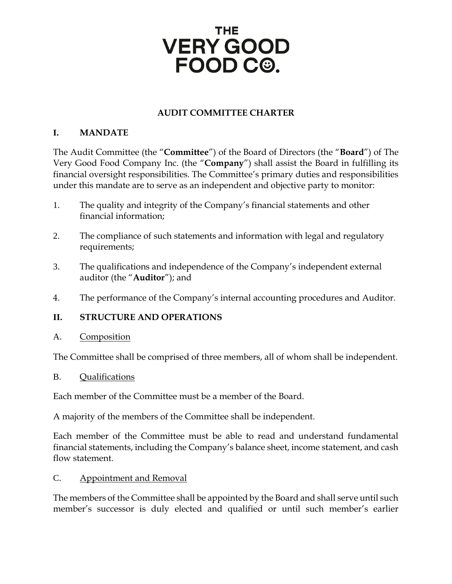#### **AUDIT COMMITTEE CHARTER**

#### **I. MANDATE**

The Audit Committee (the "**Committee**") of the Board of Directors (the "**Board**") of The Very Good Food Company Inc. (the "**Company**") shall assist the Board in fulfilling its financial oversight responsibilities. The Committee's primary duties and responsibilities under this mandate are to serve as an independent and objective party to monitor:

- 1. The quality and integrity of the Company's financial statements and other financial information;
- 2. The compliance of such statements and information with legal and regulatory requirements;
- 3. The qualifications and independence of the Company's independent external auditor (the "**Auditor**"); and
- 4. The performance of the Company's internal accounting procedures and Auditor.

#### **II. STRUCTURE AND OPERATIONS**

#### A. Composition

The Committee shall be comprised of three members, all of whom shall be independent.

#### B. Qualifications

Each member of the Committee must be a member of the Board.

A majority of the members of the Committee shall be independent.

Each member of the Committee must be able to read and understand fundamental financial statements, including the Company's balance sheet, income statement, and cash flow statement.

#### C. Appointment and Removal

The members of the Committee shall be appointed by the Board and shall serve until such member's successor is duly elected and qualified or until such member's earlier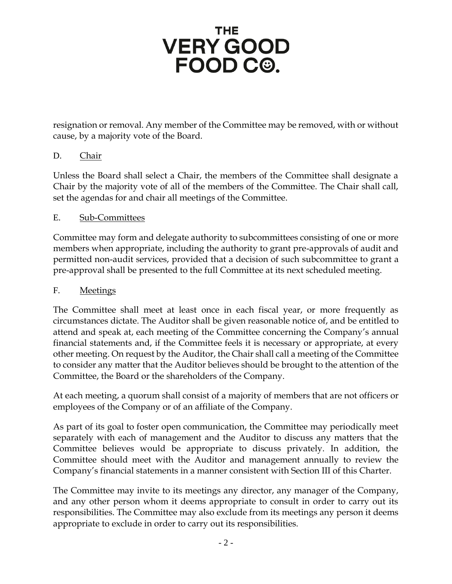## **THE VERY GOOD** FOOD C<sup>o</sup>.

resignation or removal. Any member of the Committee may be removed, with or without cause, by a majority vote of the Board.

#### D. Chair

Unless the Board shall select a Chair, the members of the Committee shall designate a Chair by the majority vote of all of the members of the Committee. The Chair shall call, set the agendas for and chair all meetings of the Committee.

#### E. Sub-Committees

Committee may form and delegate authority to subcommittees consisting of one or more members when appropriate, including the authority to grant pre-approvals of audit and permitted non-audit services, provided that a decision of such subcommittee to grant a pre-approval shall be presented to the full Committee at its next scheduled meeting.

#### F. Meetings

The Committee shall meet at least once in each fiscal year, or more frequently as circumstances dictate. The Auditor shall be given reasonable notice of, and be entitled to attend and speak at, each meeting of the Committee concerning the Company's annual financial statements and, if the Committee feels it is necessary or appropriate, at every other meeting. On request by the Auditor, the Chair shall call a meeting of the Committee to consider any matter that the Auditor believes should be brought to the attention of the Committee, the Board or the shareholders of the Company.

At each meeting, a quorum shall consist of a majority of members that are not officers or employees of the Company or of an affiliate of the Company.

As part of its goal to foster open communication, the Committee may periodically meet separately with each of management and the Auditor to discuss any matters that the Committee believes would be appropriate to discuss privately. In addition, the Committee should meet with the Auditor and management annually to review the Company's financial statements in a manner consistent with Section III of this Charter.

The Committee may invite to its meetings any director, any manager of the Company, and any other person whom it deems appropriate to consult in order to carry out its responsibilities. The Committee may also exclude from its meetings any person it deems appropriate to exclude in order to carry out its responsibilities.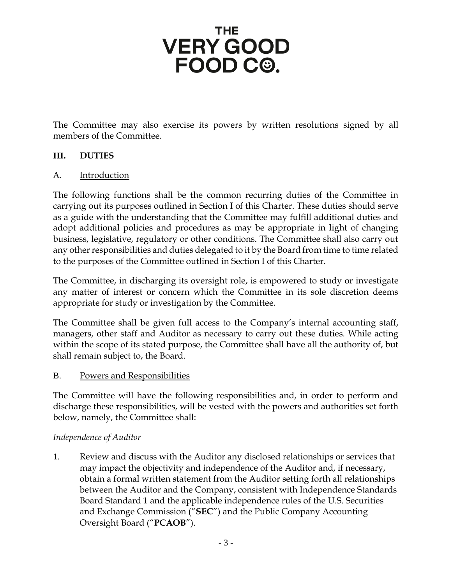## **THE VERY GOOD** FOOD C<sup>®</sup>.

The Committee may also exercise its powers by written resolutions signed by all members of the Committee.

#### **III. DUTIES**

#### A. Introduction

The following functions shall be the common recurring duties of the Committee in carrying out its purposes outlined in Section I of this Charter. These duties should serve as a guide with the understanding that the Committee may fulfill additional duties and adopt additional policies and procedures as may be appropriate in light of changing business, legislative, regulatory or other conditions. The Committee shall also carry out any other responsibilities and duties delegated to it by the Board from time to time related to the purposes of the Committee outlined in Section I of this Charter.

The Committee, in discharging its oversight role, is empowered to study or investigate any matter of interest or concern which the Committee in its sole discretion deems appropriate for study or investigation by the Committee.

The Committee shall be given full access to the Company's internal accounting staff, managers, other staff and Auditor as necessary to carry out these duties. While acting within the scope of its stated purpose, the Committee shall have all the authority of, but shall remain subject to, the Board.

#### B. Powers and Responsibilities

The Committee will have the following responsibilities and, in order to perform and discharge these responsibilities, will be vested with the powers and authorities set forth below, namely, the Committee shall:

#### *Independence of Auditor*

1. Review and discuss with the Auditor any disclosed relationships or services that may impact the objectivity and independence of the Auditor and, if necessary, obtain a formal written statement from the Auditor setting forth all relationships between the Auditor and the Company, consistent with Independence Standards Board Standard 1 and the applicable independence rules of the U.S. Securities and Exchange Commission ("**SEC**") and the Public Company Accounting Oversight Board ("**PCAOB**").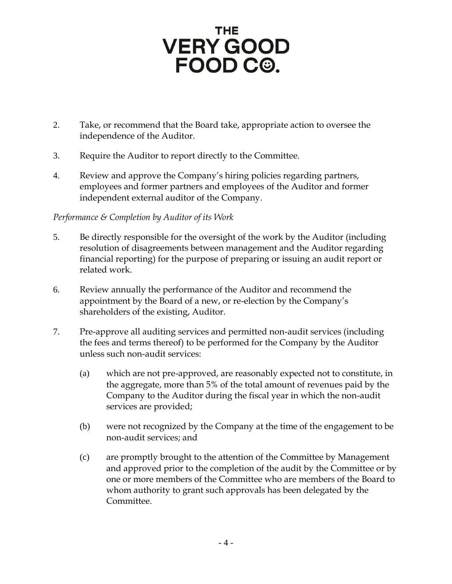- 2. Take, or recommend that the Board take, appropriate action to oversee the independence of the Auditor.
- 3. Require the Auditor to report directly to the Committee.
- 4. Review and approve the Company's hiring policies regarding partners, employees and former partners and employees of the Auditor and former independent external auditor of the Company.

#### *Performance & Completion by Auditor of its Work*

- 5. Be directly responsible for the oversight of the work by the Auditor (including resolution of disagreements between management and the Auditor regarding financial reporting) for the purpose of preparing or issuing an audit report or related work.
- 6. Review annually the performance of the Auditor and recommend the appointment by the Board of a new, or re-election by the Company's shareholders of the existing, Auditor.
- 7. Pre-approve all auditing services and permitted non-audit services (including the fees and terms thereof) to be performed for the Company by the Auditor unless such non-audit services:
	- (a) which are not pre-approved, are reasonably expected not to constitute, in the aggregate, more than 5% of the total amount of revenues paid by the Company to the Auditor during the fiscal year in which the non-audit services are provided;
	- (b) were not recognized by the Company at the time of the engagement to be non-audit services; and
	- (c) are promptly brought to the attention of the Committee by Management and approved prior to the completion of the audit by the Committee or by one or more members of the Committee who are members of the Board to whom authority to grant such approvals has been delegated by the Committee.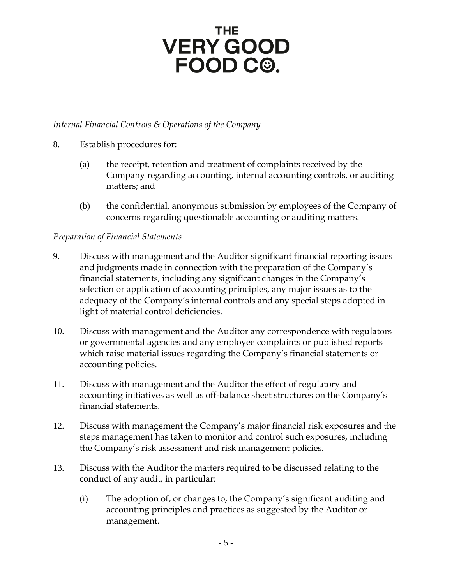# VERY GOOD<br>FOOD C<sup>@</sup>.

#### *Internal Financial Controls & Operations of the Company*

- 8. Establish procedures for:
	- (a) the receipt, retention and treatment of complaints received by the Company regarding accounting, internal accounting controls, or auditing matters; and
	- (b) the confidential, anonymous submission by employees of the Company of concerns regarding questionable accounting or auditing matters.

#### *Preparation of Financial Statements*

- 9. Discuss with management and the Auditor significant financial reporting issues and judgments made in connection with the preparation of the Company's financial statements, including any significant changes in the Company's selection or application of accounting principles, any major issues as to the adequacy of the Company's internal controls and any special steps adopted in light of material control deficiencies.
- 10. Discuss with management and the Auditor any correspondence with regulators or governmental agencies and any employee complaints or published reports which raise material issues regarding the Company's financial statements or accounting policies.
- 11. Discuss with management and the Auditor the effect of regulatory and accounting initiatives as well as off-balance sheet structures on the Company's financial statements.
- 12. Discuss with management the Company's major financial risk exposures and the steps management has taken to monitor and control such exposures, including the Company's risk assessment and risk management policies.
- 13. Discuss with the Auditor the matters required to be discussed relating to the conduct of any audit, in particular:
	- (i) The adoption of, or changes to, the Company's significant auditing and accounting principles and practices as suggested by the Auditor or management.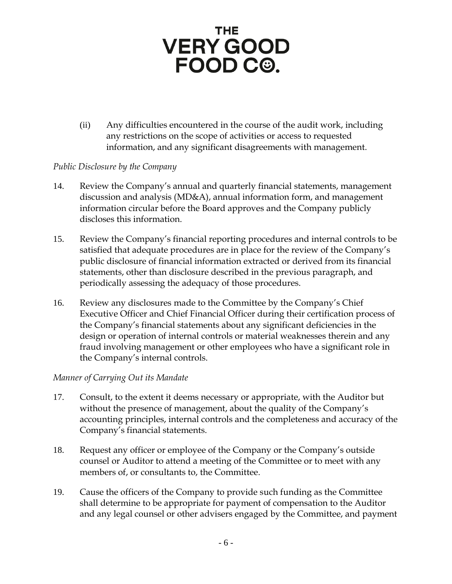(ii) Any difficulties encountered in the course of the audit work, including any restrictions on the scope of activities or access to requested information, and any significant disagreements with management.

#### *Public Disclosure by the Company*

- 14. Review the Company's annual and quarterly financial statements, management discussion and analysis (MD&A), annual information form, and management information circular before the Board approves and the Company publicly discloses this information.
- 15. Review the Company's financial reporting procedures and internal controls to be satisfied that adequate procedures are in place for the review of the Company's public disclosure of financial information extracted or derived from its financial statements, other than disclosure described in the previous paragraph, and periodically assessing the adequacy of those procedures.
- 16. Review any disclosures made to the Committee by the Company's Chief Executive Officer and Chief Financial Officer during their certification process of the Company's financial statements about any significant deficiencies in the design or operation of internal controls or material weaknesses therein and any fraud involving management or other employees who have a significant role in the Company's internal controls.

#### *Manner of Carrying Out its Mandate*

- 17. Consult, to the extent it deems necessary or appropriate, with the Auditor but without the presence of management, about the quality of the Company's accounting principles, internal controls and the completeness and accuracy of the Company's financial statements.
- 18. Request any officer or employee of the Company or the Company's outside counsel or Auditor to attend a meeting of the Committee or to meet with any members of, or consultants to, the Committee.
- 19. Cause the officers of the Company to provide such funding as the Committee shall determine to be appropriate for payment of compensation to the Auditor and any legal counsel or other advisers engaged by the Committee, and payment